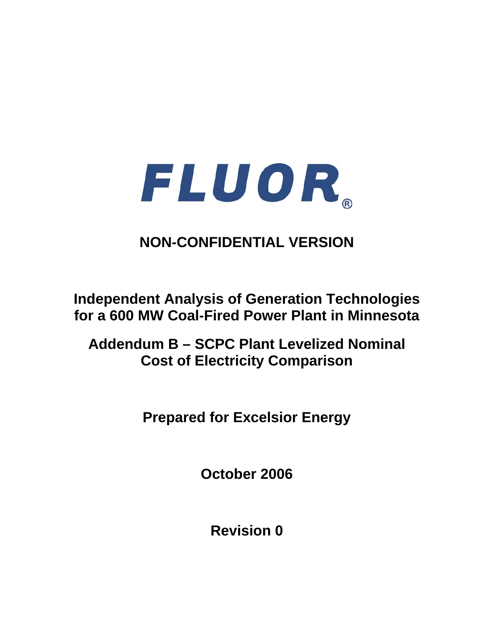

# **NON-CONFIDENTIAL VERSION**

**Independent Analysis of Generation Technologies for a 600 MW Coal-Fired Power Plant in Minnesota** 

**Addendum B – SCPC Plant Levelized Nominal Cost of Electricity Comparison** 

**Prepared for Excelsior Energy** 

**October 2006** 

**Revision 0**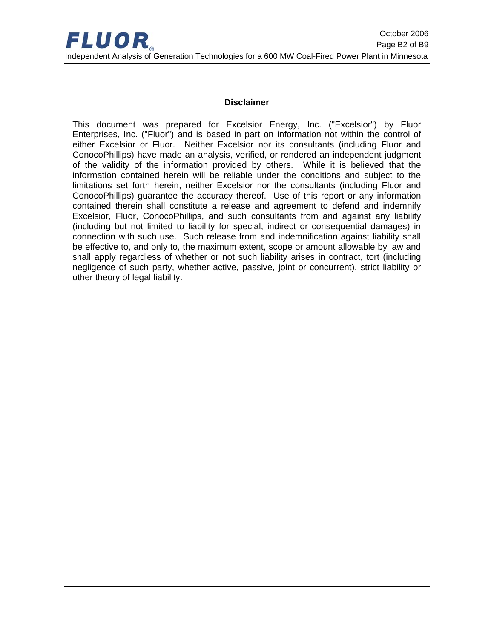### **Disclaimer**

This document was prepared for Excelsior Energy, Inc. ("Excelsior") by Fluor Enterprises, Inc. ("Fluor") and is based in part on information not within the control of either Excelsior or Fluor. Neither Excelsior nor its consultants (including Fluor and ConocoPhillips) have made an analysis, verified, or rendered an independent judgment of the validity of the information provided by others. While it is believed that the information contained herein will be reliable under the conditions and subject to the limitations set forth herein, neither Excelsior nor the consultants (including Fluor and ConocoPhillips) guarantee the accuracy thereof. Use of this report or any information contained therein shall constitute a release and agreement to defend and indemnify Excelsior, Fluor, ConocoPhillips, and such consultants from and against any liability (including but not limited to liability for special, indirect or consequential damages) in connection with such use. Such release from and indemnification against liability shall be effective to, and only to, the maximum extent, scope or amount allowable by law and shall apply regardless of whether or not such liability arises in contract, tort (including negligence of such party, whether active, passive, joint or concurrent), strict liability or other theory of legal liability.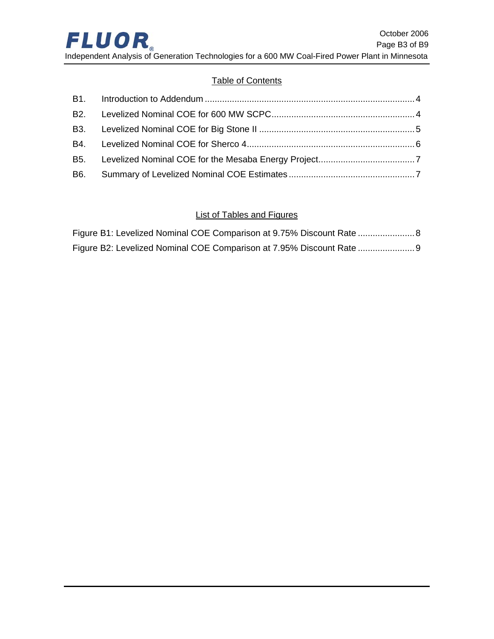# **Table of Contents**

# List of Tables and Figures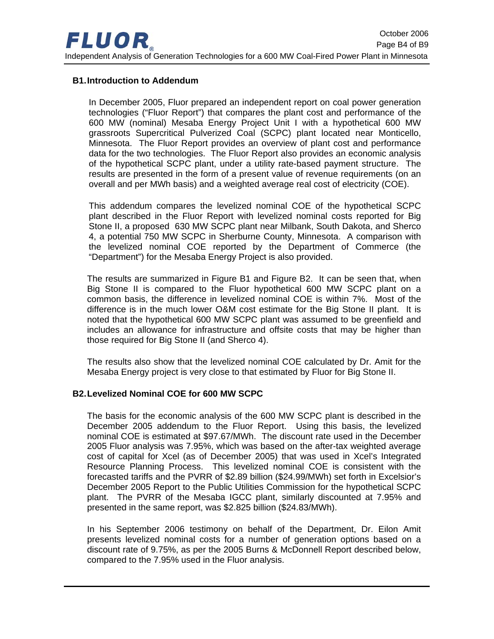#### <span id="page-3-0"></span>**B1. Introduction to Addendum**

In December 2005, Fluor prepared an independent report on coal power generation technologies ("Fluor Report") that compares the plant cost and performance of the 600 MW (nominal) Mesaba Energy Project Unit I with a hypothetical 600 MW grassroots Supercritical Pulverized Coal (SCPC) plant located near Monticello, Minnesota. The Fluor Report provides an overview of plant cost and performance data for the two technologies. The Fluor Report also provides an economic analysis of the hypothetical SCPC plant, under a utility rate-based payment structure. The results are presented in the form of a present value of revenue requirements (on an overall and per MWh basis) and a weighted average real cost of electricity (COE).

This addendum compares the levelized nominal COE of the hypothetical SCPC plant described in the Fluor Report with levelized nominal costs reported for Big Stone II, a proposed 630 MW SCPC plant near Milbank, South Dakota, and Sherco 4, a potential 750 MW SCPC in Sherburne County, Minnesota. A comparison with the levelized nominal COE reported by the Department of Commerce (the "Department") for the Mesaba Energy Project is also provided.

The results are summarized in [Figure B1](#page-7-1) and [Figure B2.](#page-8-1) It can be seen that, when Big Stone II is compared to the Fluor hypothetical 600 MW SCPC plant on a common basis, the difference in levelized nominal COE is within 7%. Most of the difference is in the much lower O&M cost estimate for the Big Stone II plant. It is noted that the hypothetical 600 MW SCPC plant was assumed to be greenfield and includes an allowance for infrastructure and offsite costs that may be higher than those required for Big Stone II (and Sherco 4).

The results also show that the levelized nominal COE calculated by Dr. Amit for the Mesaba Energy project is very close to that estimated by Fluor for Big Stone II.

#### **B2. Levelized Nominal COE for 600 MW SCPC**

The basis for the economic analysis of the 600 MW SCPC plant is described in the December 2005 addendum to the Fluor Report. Using this basis, the levelized nominal COE is estimated at \$97.67/MWh. The discount rate used in the December 2005 Fluor analysis was 7.95%, which was based on the after-tax weighted average cost of capital for Xcel (as of December 2005) that was used in Xcel's Integrated Resource Planning Process. This levelized nominal COE is consistent with the forecasted tariffs and the PVRR of \$2.89 billion (\$24.99/MWh) set forth in Excelsior's December 2005 Report to the Public Utilities Commission for the hypothetical SCPC plant. The PVRR of the Mesaba IGCC plant, similarly discounted at 7.95% and presented in the same report, was \$2.825 billion (\$24.83/MWh).

In his September 2006 testimony on behalf of the Department, Dr. Eilon Amit presents levelized nominal costs for a number of generation options based on a discount rate of 9.75%, as per the 2005 Burns & McDonnell Report described below, compared to the 7.95% used in the Fluor analysis.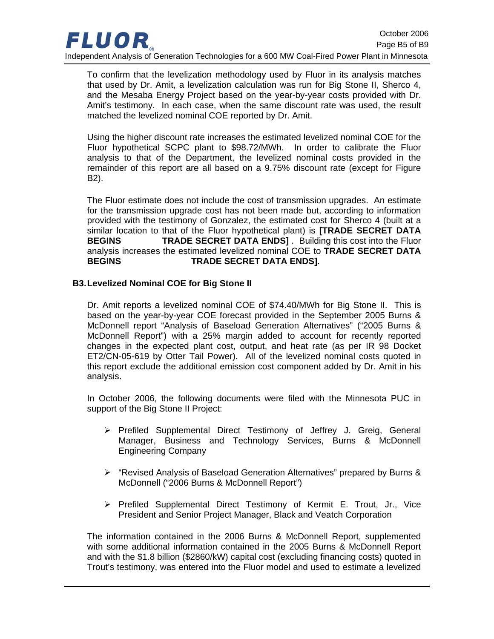<span id="page-4-0"></span>

To confirm that the levelization methodology used by Fluor in its analysis matches that used by Dr. Amit, a levelization calculation was run for Big Stone II, Sherco 4, and the Mesaba Energy Project based on the year-by-year costs provided with Dr. Amit's testimony. In each case, when the same discount rate was used, the result matched the levelized nominal COE reported by Dr. Amit.

Using the higher discount rate increases the estimated levelized nominal COE for the Fluor hypothetical SCPC plant to \$98.72/MWh. In order to calibrate the Fluor analysis to that of the Department, the levelized nominal costs provided in the remainder of this report are all based on a 9.75% discount rate (except for [Figure](#page-8-1)  [B2\)](#page-8-1).

The Fluor estimate does not include the cost of transmission upgrades. An estimate for the transmission upgrade cost has not been made but, according to information provided with the testimony of Gonzalez, the estimated cost for Sherco 4 (built at a similar location to that of the Fluor hypothetical plant) is **[TRADE SECRET DATA BEGINS TRADE SECRET DATA ENDS]** . Building this cost into the Fluor analysis increases the estimated levelized nominal COE to **TRADE SECRET DATA BEGINS TRADE SECRET DATA ENDS]**.

#### **B3. Levelized Nominal COE for Big Stone II**

Dr. Amit reports a levelized nominal COE of \$74.40/MWh for Big Stone II. This is based on the year-by-year COE forecast provided in the September 2005 Burns & McDonnell report "Analysis of Baseload Generation Alternatives" ("2005 Burns & McDonnell Report") with a 25% margin added to account for recently reported changes in the expected plant cost, output, and heat rate (as per IR 98 Docket ET2/CN-05-619 by Otter Tail Power). All of the levelized nominal costs quoted in this report exclude the additional emission cost component added by Dr. Amit in his analysis.

In October 2006, the following documents were filed with the Minnesota PUC in support of the Big Stone II Project:

- ¾ Prefiled Supplemental Direct Testimony of Jeffrey J. Greig, General Manager, Business and Technology Services, Burns & McDonnell Engineering Company
- ¾ "Revised Analysis of Baseload Generation Alternatives" prepared by Burns & McDonnell ("2006 Burns & McDonnell Report")
- $\triangleright$  Prefiled Supplemental Direct Testimony of Kermit E. Trout, Jr., Vice President and Senior Project Manager, Black and Veatch Corporation

The information contained in the 2006 Burns & McDonnell Report, supplemented with some additional information contained in the 2005 Burns & McDonnell Report and with the \$1.8 billion (\$2860/kW) capital cost (excluding financing costs) quoted in Trout's testimony, was entered into the Fluor model and used to estimate a levelized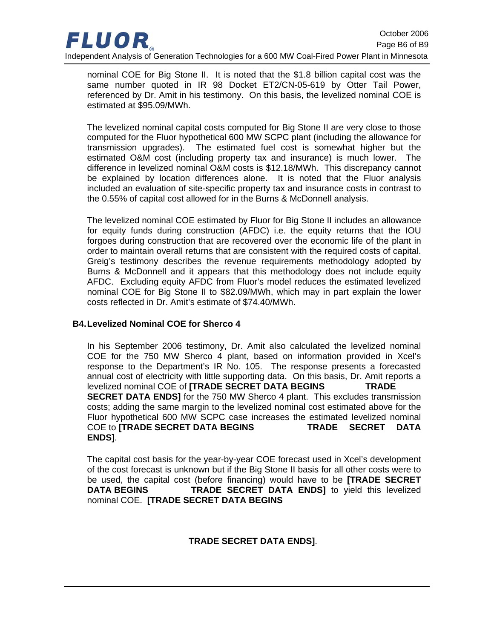<span id="page-5-0"></span>

nominal COE for Big Stone II. It is noted that the \$1.8 billion capital cost was the same number quoted in IR 98 Docket ET2/CN-05-619 by Otter Tail Power, referenced by Dr. Amit in his testimony. On this basis, the levelized nominal COE is estimated at \$95.09/MWh.

The levelized nominal capital costs computed for Big Stone II are very close to those computed for the Fluor hypothetical 600 MW SCPC plant (including the allowance for transmission upgrades). The estimated fuel cost is somewhat higher but the estimated O&M cost (including property tax and insurance) is much lower. The difference in levelized nominal O&M costs is \$12.18/MWh. This discrepancy cannot be explained by location differences alone. It is noted that the Fluor analysis included an evaluation of site-specific property tax and insurance costs in contrast to the 0.55% of capital cost allowed for in the Burns & McDonnell analysis.

The levelized nominal COE estimated by Fluor for Big Stone II includes an allowance for equity funds during construction (AFDC) i.e. the equity returns that the IOU forgoes during construction that are recovered over the economic life of the plant in order to maintain overall returns that are consistent with the required costs of capital. Greig's testimony describes the revenue requirements methodology adopted by Burns & McDonnell and it appears that this methodology does not include equity AFDC. Excluding equity AFDC from Fluor's model reduces the estimated levelized nominal COE for Big Stone II to \$82.09/MWh, which may in part explain the lower costs reflected in Dr. Amit's estimate of \$74.40/MWh.

#### **B4. Levelized Nominal COE for Sherco 4**

In his September 2006 testimony, Dr. Amit also calculated the levelized nominal COE for the 750 MW Sherco 4 plant, based on information provided in Xcel's response to the Department's IR No. 105. The response presents a forecasted annual cost of electricity with little supporting data. On this basis, Dr. Amit reports a levelized nominal COE of **[TRADE SECRET DATA BEGINS TRADE SECRET DATA ENDS]** for the 750 MW Sherco 4 plant. This excludes transmission costs; adding the same margin to the levelized nominal cost estimated above for the Fluor hypothetical 600 MW SCPC case increases the estimated levelized nominal COE to **[TRADE SECRET DATA BEGINS TRADE SECRET DATA ENDS]**.

The capital cost basis for the year-by-year COE forecast used in Xcel's development of the cost forecast is unknown but if the Big Stone II basis for all other costs were to be used, the capital cost (before financing) would have to be **[TRADE SECRET DATA BEGINS** TRADE SECRET DATA ENDS] to yield this levelized nominal COE. **[TRADE SECRET DATA BEGINS** 

#### **TRADE SECRET DATA ENDS]**.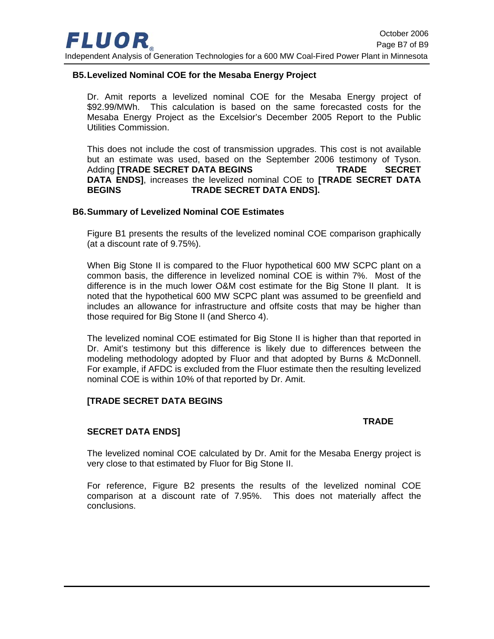<span id="page-6-0"></span>

#### **B5. Levelized Nominal COE for the Mesaba Energy Project**

Dr. Amit reports a levelized nominal COE for the Mesaba Energy project of \$92.99/MWh. This calculation is based on the same forecasted costs for the Mesaba Energy Project as the Excelsior's December 2005 Report to the Public Utilities Commission.

This does not include the cost of transmission upgrades. This cost is not available but an estimate was used, based on the September 2006 testimony of Tyson. Adding **[TRADE SECRET DATA BEGINS TRADE SECRET DATA ENDS]**, increases the levelized nominal COE to **[TRADE SECRET DATA BEGINS TRADE SECRET DATA ENDS].** 

#### **B6. Summary of Levelized Nominal COE Estimates**

[Figure B1](#page-7-1) presents the results of the levelized nominal COE comparison graphically (at a discount rate of 9.75%).

When Big Stone II is compared to the Fluor hypothetical 600 MW SCPC plant on a common basis, the difference in levelized nominal COE is within 7%. Most of the difference is in the much lower O&M cost estimate for the Big Stone II plant. It is noted that the hypothetical 600 MW SCPC plant was assumed to be greenfield and includes an allowance for infrastructure and offsite costs that may be higher than those required for Big Stone II (and Sherco 4).

The levelized nominal COE estimated for Big Stone II is higher than that reported in Dr. Amit's testimony but this difference is likely due to differences between the modeling methodology adopted by Fluor and that adopted by Burns & McDonnell. For example, if AFDC is excluded from the Fluor estimate then the resulting levelized nominal COE is within 10% of that reported by Dr. Amit.

#### **[TRADE SECRET DATA BEGINS**

#### **TRADE**

#### **SECRET DATA ENDS]**

The levelized nominal COE calculated by Dr. Amit for the Mesaba Energy project is very close to that estimated by Fluor for Big Stone II.

For reference, [Figure B2](#page-8-1) presents the results of the levelized nominal COE comparison at a discount rate of 7.95%. This does not materially affect the conclusions.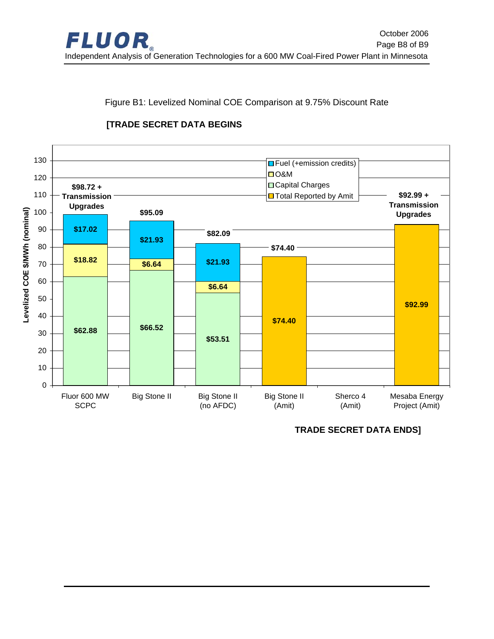<span id="page-7-0"></span>

<span id="page-7-1"></span>Figure B1: Levelized Nominal COE Comparison at 9.75% Discount Rate



# **[TRADE SECRET DATA BEGINS**

**TRADE SECRET DATA ENDS]**